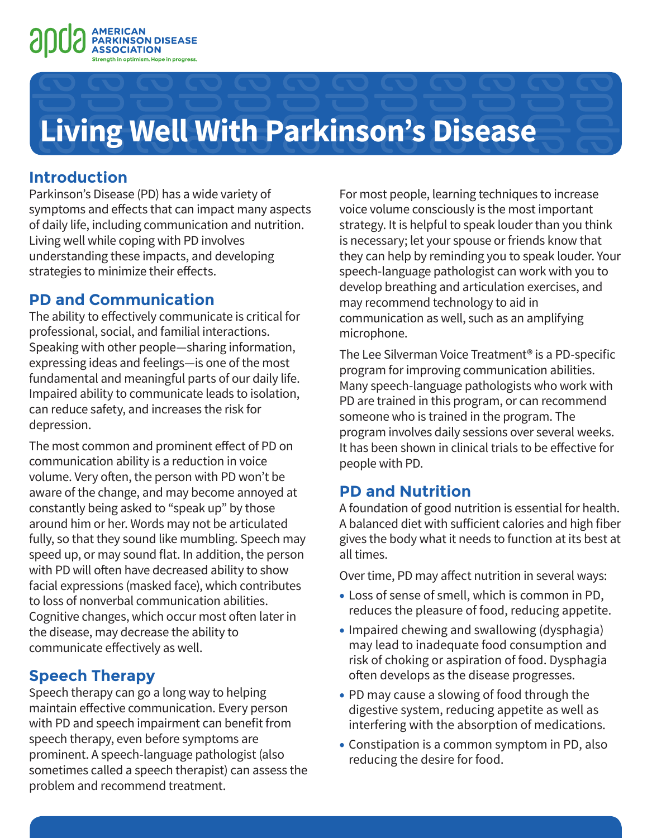

# **Living Well With Parkinson's Disease**

### **Introduction**

Parkinson's Disease (PD) has a wide variety of symptoms and effects that can impact many aspects of daily life, including communication and nutrition. Living well while coping with PD involves understanding these impacts, and developing strategies to minimize their effects.

#### **PD and Communication**

The ability to effectively communicate is critical for professional, social, and familial interactions. Speaking with other people—sharing information, expressing ideas and feelings—is one of the most fundamental and meaningful parts of our daily life. Impaired ability to communicate leads to isolation, can reduce safety, and increases the risk for depression.

The most common and prominent effect of PD on communication ability is a reduction in voice volume. Very often, the person with PD won't be aware of the change, and may become annoyed at constantly being asked to "speak up" by those around him or her. Words may not be articulated fully, so that they sound like mumbling. Speech may speed up, or may sound flat. In addition, the person with PD will often have decreased ability to show facial expressions (masked face), which contributes to loss of nonverbal communication abilities. Cognitive changes, which occur most often later in the disease, may decrease the ability to communicate effectively as well.

## **Speech Therapy**

Speech therapy can go a long way to helping maintain effective communication. Every person with PD and speech impairment can benefit from speech therapy, even before symptoms are prominent. A speech-language pathologist (also sometimes called a speech therapist) can assess the problem and recommend treatment.

For most people, learning techniques to increase voice volume consciously is the most important strategy. It is helpful to speak louder than you think is necessary; let your spouse or friends know that they can help by reminding you to speak louder. Your speech-language pathologist can work with you to develop breathing and articulation exercises, and may recommend technology to aid in communication as well, such as an amplifying microphone.

The Lee Silverman Voice Treatment® is a PD-specific program for improving communication abilities. Many speech-language pathologists who work with PD are trained in this program, or can recommend someone who is trained in the program. The program involves daily sessions over several weeks. It has been shown in clinical trials to be effective for people with PD.

## **PD and Nutrition**

A foundation of good nutrition is essential for health. A balanced diet with sufficient calories and high fiber gives the body what it needs to function at its best at all times.

Over time, PD may affect nutrition in several ways:

- Loss of sense of smell, which is common in PD, reduces the pleasure of food, reducing appetite.
- Impaired chewing and swallowing (dysphagia) may lead to inadequate food consumption and risk of choking or aspiration of food. Dysphagia often develops as the disease progresses.
- PD may cause a slowing of food through the digestive system, reducing appetite as well as interfering with the absorption of medications.
- Constipation is a common symptom in PD, also reducing the desire for food.